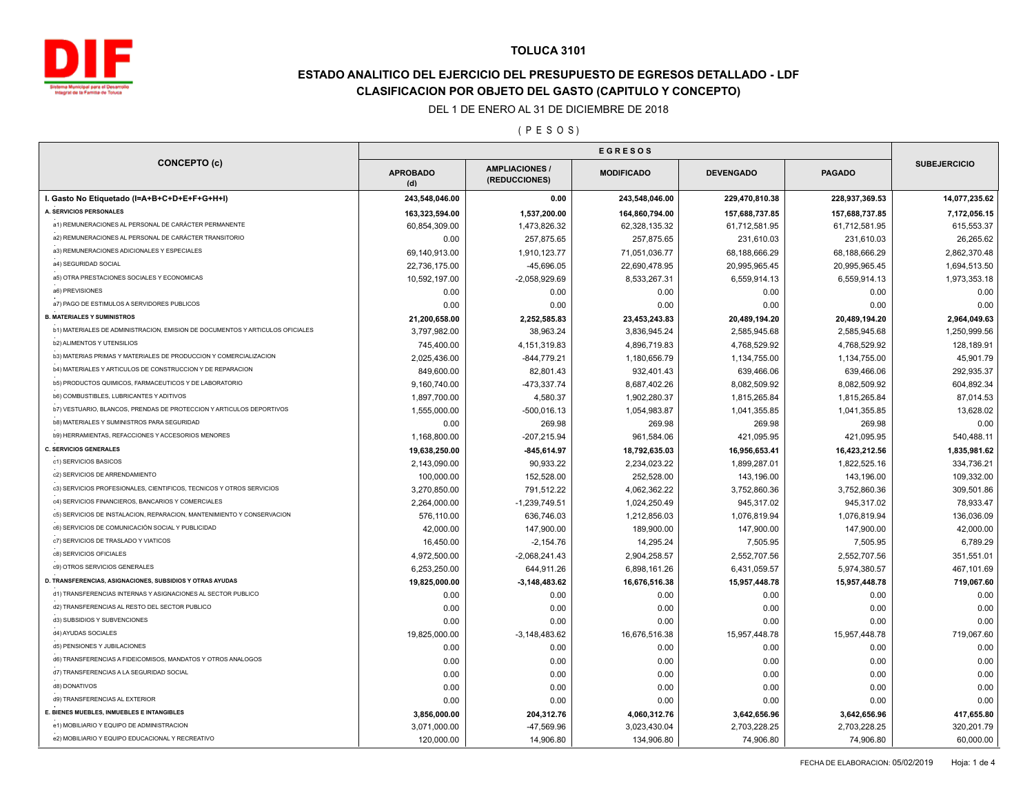

# **ESTADO ANALITICO DEL EJERCICIO DEL PRESUPUESTO DE EGRESOS DETALLADO - LDF CLASIFICACION POR OBJETO DEL GASTO (CAPITULO Y CONCEPTO)**

#### DEL 1 DE ENERO AL 31 DE DICIEMBRE DE 2018

#### ( P E S O S )

| <b>CONCEPTO (c)</b>                                                                     | <b>EGRESOS</b>         |                                        |                   |                  |                |                     |
|-----------------------------------------------------------------------------------------|------------------------|----------------------------------------|-------------------|------------------|----------------|---------------------|
|                                                                                         | <b>APROBADO</b><br>(d) | <b>AMPLIACIONES /</b><br>(REDUCCIONES) | <b>MODIFICADO</b> | <b>DEVENGADO</b> | <b>PAGADO</b>  | <b>SUBEJERCICIO</b> |
| I. Gasto No Etiquetado (I=A+B+C+D+E+F+G+H+I)                                            | 243,548,046.00         | 0.00                                   | 243,548,046.00    | 229,470,810.38   | 228,937,369.53 | 14,077,235.62       |
| A. SERVICIOS PERSONALES                                                                 | 163,323,594.00         | 1,537,200.00                           | 164,860,794.00    | 157,688,737.85   | 157,688,737.85 | 7,172,056.15        |
| a1) REMUNERACIONES AL PERSONAL DE CARÁCTER PERMANENTE                                   | 60,854,309.00          | 1,473,826.32                           | 62,328,135.32     | 61,712,581.95    | 61,712,581.95  | 615,553.37          |
| a2) REMUNERACIONES AL PERSONAL DE CARÁCTER TRANSITORIO                                  | 0.00                   | 257,875.65                             | 257,875.65        | 231,610.03       | 231,610.03     | 26,265.62           |
| a3) REMUNERACIONES ADICIONALES Y ESPECIALES                                             | 69,140,913.00          | 1,910,123.77                           | 71,051,036.77     | 68,188,666.29    | 68,188,666.29  | 2,862,370.48        |
| a4) SEGURIDAD SOCIAL                                                                    | 22,736,175.00          | -45,696.05                             | 22,690,478.95     | 20,995,965.45    | 20,995,965.45  | 1,694,513.50        |
| a5) OTRA PRESTACIONES SOCIALES Y ECONOMICAS                                             | 10,592,197.00          | $-2,058,929.69$                        | 8,533,267.31      | 6,559,914.13     | 6,559,914.13   | 1,973,353.18        |
| a6) PREVISIONES                                                                         | 0.00                   | 0.00                                   | 0.00              | 0.00             | 0.00           | 0.00                |
| a7) PAGO DE ESTIMULOS A SERVIDORES PUBLICOS                                             | 0.00                   | 0.00                                   | 0.00              | 0.00             | 0.00           | 0.00                |
| <b>B. MATERIALES Y SUMINISTROS</b>                                                      | 21,200,658.00          | 2,252,585.83                           | 23,453,243.83     | 20,489,194.20    | 20,489,194.20  | 2,964,049.63        |
| b1) MATERIALES DE ADMINISTRACION, EMISION DE DOCUMENTOS Y ARTICULOS OFICIALES           | 3,797,982.00           | 38.963.24                              | 3,836,945.24      | 2,585,945.68     | 2,585,945.68   | 1,250,999.56        |
| <b>b2) ALIMENTOS Y UTENSILIOS</b>                                                       | 745,400.00             | 4, 151, 319.83                         | 4,896,719.83      | 4,768,529.92     | 4,768,529.92   | 128,189.91          |
| b3) MATERIAS PRIMAS Y MATERIALES DE PRODUCCION Y COMERCIALIZACION                       | 2,025,436.00           | $-844,779.21$                          | 1,180,656.79      | 1,134,755.00     | 1,134,755.00   | 45,901.79           |
| b4) MATERIALES Y ARTICULOS DE CONSTRUCCION Y DE REPARACION                              | 849,600.00             | 82,801.43                              | 932,401.43        | 639,466.06       | 639,466.06     | 292,935.37          |
| b5) PRODUCTOS QUIMICOS, FARMACEUTICOS Y DE LABORATORIO                                  | 9,160,740.00           | -473,337.74                            | 8,687,402.26      | 8,082,509.92     | 8,082,509.92   | 604,892.34          |
| <b>b6) COMBUSTIBLES, LUBRICANTES Y ADITIVOS</b>                                         | 1,897,700.00           | 4,580.37                               | 1,902,280.37      | 1,815,265.84     | 1,815,265.84   | 87,014.53           |
| b7) VESTUARIO, BLANCOS, PRENDAS DE PROTECCION Y ARTICULOS DEPORTIVOS                    | 1,555,000.00           | $-500,016.13$                          | 1,054,983.87      | 1,041,355.85     | 1,041,355.85   | 13,628.02           |
| b8) MATERIALES Y SUMINISTROS PARA SEGURIDAD                                             | 0.00                   | 269.98                                 | 269.98            | 269.98           | 269.98         | 0.00                |
| b9) HERRAMIENTAS, REFACCIONES Y ACCESORIOS MENORES                                      | 1,168,800.00           | $-207,215.94$                          | 961,584.06        | 421,095.95       | 421,095.95     | 540,488.11          |
| <b>C. SERVICIOS GENERALES</b>                                                           | 19,638,250.00          | $-845,614.97$                          | 18,792,635.03     | 16,956,653.41    | 16,423,212.56  | 1,835,981.62        |
| c1) SERVICIOS BASICOS                                                                   | 2,143,090.00           | 90,933.22                              | 2,234,023.22      | 1,899,287.01     | 1,822,525.16   | 334,736.21          |
| c2) SERVICIOS DE ARRENDAMIENTO                                                          | 100,000.00             | 152,528.00                             | 252,528.00        | 143,196.00       | 143,196.00     | 109,332.00          |
| c3) SERVICIOS PROFESIONALES, CIENTIFICOS, TECNICOS Y OTROS SERVICIOS                    | 3,270,850.00           | 791,512.22                             | 4,062,362.22      | 3,752,860.36     | 3,752,860.36   | 309,501.86          |
| c4) SERVICIOS FINANCIEROS, BANCARIOS Y COMERCIALES                                      | 2,264,000.00           | $-1,239,749.51$                        | 1,024,250.49      | 945,317.02       | 945,317.02     | 78,933.47           |
| c5) SERVICIOS DE INSTALACION, REPARACION, MANTENIMIENTO Y CONSERVACION                  | 576,110.00             | 636,746.03                             | 1,212,856.03      | 1,076,819.94     | 1,076,819.94   | 136,036.09          |
| c6) SERVICIOS DE COMUNICACIÓN SOCIAL Y PUBLICIDAD                                       | 42,000.00              | 147,900.00                             | 189,900.00        | 147,900.00       | 147,900.00     | 42,000.00           |
| c7) SERVICIOS DE TRASLADO Y VIATICOS                                                    | 16,450.00              | $-2,154.76$                            | 14,295.24         | 7,505.95         | 7,505.95       | 6,789.29            |
| c8) SERVICIOS OFICIALES                                                                 | 4,972,500.00           | $-2,068,241.43$                        | 2,904,258.57      | 2,552,707.56     | 2,552,707.56   | 351,551.01          |
| c9) OTROS SERVICIOS GENERALES                                                           | 6,253,250.00           | 644,911.26                             | 6,898,161.26      | 6,431,059.57     | 5,974,380.57   | 467,101.69          |
| D. TRANSFERENCIAS, ASIGNACIONES, SUBSIDIOS Y OTRAS AYUDAS                               | 19,825,000.00          | $-3,148,483.62$                        | 16,676,516.38     | 15,957,448.78    | 15,957,448.78  | 719,067.60          |
| d1) TRANSFERENCIAS INTERNAS Y ASIGNACIONES AL SECTOR PUBLICO                            | 0.00                   | 0.00                                   | 0.00              | 0.00             | 0.00           | 0.00                |
| d2) TRANSFERENCIAS AL RESTO DEL SECTOR PUBLICO                                          | 0.00                   | 0.00                                   | 0.00              | 0.00             | 0.00           | 0.00                |
| d3) SUBSIDIOS Y SUBVENCIONES                                                            | 0.00                   | 0.00                                   | 0.00              | 0.00             | 0.00           | 0.00                |
| d4) AYUDAS SOCIALES                                                                     | 19,825,000.00          | $-3,148,483.62$                        |                   | 15,957,448.78    | 15,957,448.78  | 719,067.60          |
| d5) PENSIONES Y JUBILACIONES                                                            |                        |                                        | 16,676,516.38     |                  |                |                     |
| d6) TRANSFERENCIAS A FIDEICOMISOS, MANDATOS Y OTROS ANALOGOS                            | 0.00                   | 0.00                                   | 0.00              | 0.00             | 0.00           | 0.00                |
| d7) TRANSFERENCIAS A LA SEGURIDAD SOCIAL                                                | 0.00                   | 0.00                                   | 0.00              | 0.00             | 0.00           | 0.00                |
|                                                                                         | 0.00                   | 0.00                                   | 0.00              | 0.00             | 0.00           | 0.00                |
| d8) DONATIVOS                                                                           | 0.00                   | 0.00                                   | 0.00              | 0.00             | 0.00           | 0.00                |
| d9) TRANSFERENCIAS AL EXTERIOR                                                          | 0.00                   | 0.00                                   | 0.00              | 0.00             | 0.00           | 0.00                |
| E. BIENES MUEBLES, INMUEBLES E INTANGIBLES<br>e1) MOBILIARIO Y EQUIPO DE ADMINISTRACION | 3,856,000.00           | 204,312.76                             | 4,060,312.76      | 3,642,656.96     | 3,642,656.96   | 417,655.80          |
|                                                                                         | 3,071,000.00           | -47,569.96                             | 3,023,430.04      | 2,703,228.25     | 2,703,228.25   | 320,201.79          |
| e2) MOBILIARIO Y EQUIPO EDUCACIONAL Y RECREATIVO                                        | 120,000.00             | 14,906.80                              | 134,906.80        | 74,906.80        | 74,906.80      | 60,000.00           |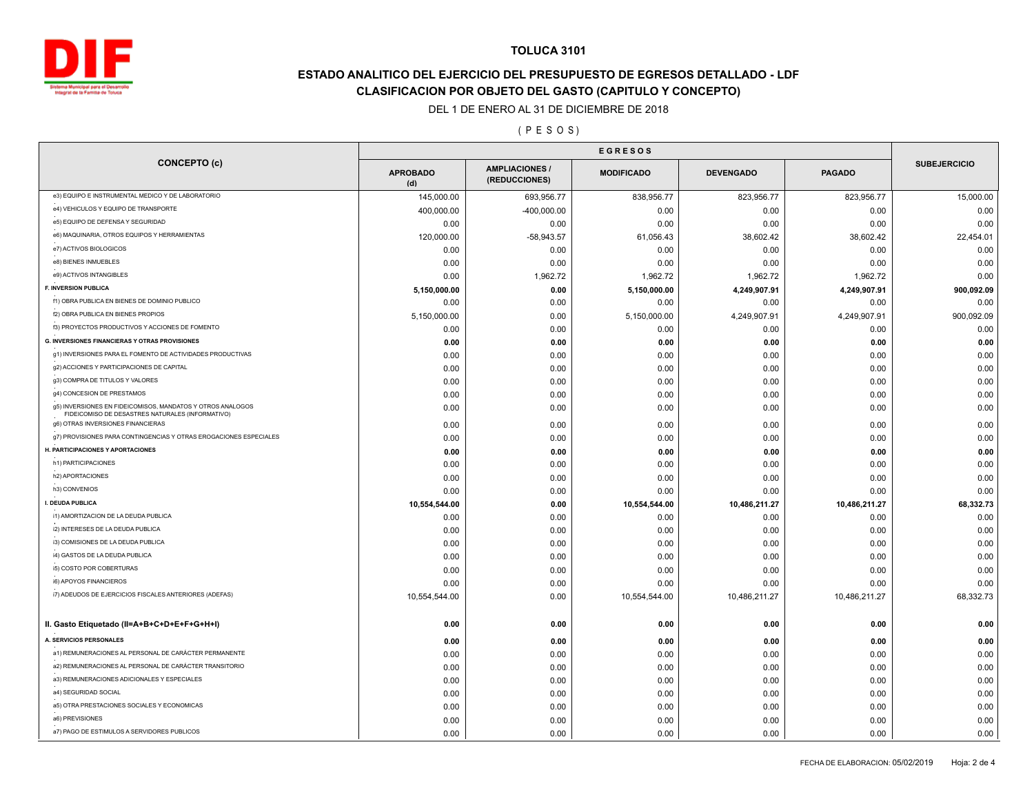

# **ESTADO ANALITICO DEL EJERCICIO DEL PRESUPUESTO DE EGRESOS DETALLADO - LDF CLASIFICACION POR OBJETO DEL GASTO (CAPITULO Y CONCEPTO)**

#### DEL 1 DE ENERO AL 31 DE DICIEMBRE DE 2018

### ( P E S O S )

|                                                                                                                |                        | <b>EGRESOS</b>                         |                   |                  |               |                     |
|----------------------------------------------------------------------------------------------------------------|------------------------|----------------------------------------|-------------------|------------------|---------------|---------------------|
| <b>CONCEPTO (c)</b>                                                                                            | <b>APROBADO</b><br>(d) | <b>AMPLIACIONES /</b><br>(REDUCCIONES) | <b>MODIFICADO</b> | <b>DEVENGADO</b> | <b>PAGADO</b> | <b>SUBEJERCICIO</b> |
| e3) EQUIPO E INSTRUMENTAL MEDICO Y DE LABORATORIO                                                              | 145,000.00             | 693,956.77                             | 838,956.77        | 823,956.77       | 823,956.77    | 15,000.00           |
| e4) VEHICULOS Y EQUIPO DE TRANSPORTE                                                                           | 400,000.00             | $-400,000.00$                          | 0.00              | 0.00             | 0.00          | 0.00                |
| e5) EQUIPO DE DEFENSA Y SEGURIDAD                                                                              | 0.00                   | 0.00                                   | 0.00              | 0.00             | 0.00          | 0.00                |
| e6) MAQUINARIA, OTROS EQUIPOS Y HERRAMIENTAS                                                                   | 120,000.00             | $-58,943.57$                           | 61,056.43         | 38,602.42        | 38,602.42     | 22,454.01           |
| e7) ACTIVOS BIOLOGICOS                                                                                         | 0.00                   | 0.00                                   | 0.00              | 0.00             | 0.00          | 0.00                |
| e8) BIENES INMUEBLES                                                                                           | 0.00                   | 0.00                                   | 0.00              | 0.00             | 0.00          | 0.00                |
| e9) ACTIVOS INTANGIBLES                                                                                        | 0.00                   | 1,962.72                               | 1,962.72          | 1,962.72         | 1,962.72      | 0.00                |
| F. INVERSION PUBLICA                                                                                           | 5,150,000.00           | 0.00                                   | 5,150,000.00      | 4,249,907.91     | 4,249,907.91  | 900,092.09          |
| f1) OBRA PUBLICA EN BIENES DE DOMINIO PUBLICO                                                                  | 0.00                   | 0.00                                   | 0.00              | 0.00             | 0.00          | 0.00                |
| f2) OBRA PUBLICA EN BIENES PROPIOS                                                                             | 5,150,000.00           | 0.00                                   | 5,150,000.00      | 4,249,907.91     | 4,249,907.91  | 900,092.09          |
| f3) PROYECTOS PRODUCTIVOS Y ACCIONES DE FOMENTO                                                                | 0.00                   | 0.00                                   | 0.00              | 0.00             | 0.00          | 0.00                |
| <b>G. INVERSIONES FINANCIERAS Y OTRAS PROVISIONES</b>                                                          | 0.00                   | 0.00                                   | 0.00              | 0.00             | 0.00          | 0.00                |
| g1) INVERSIONES PARA EL FOMENTO DE ACTIVIDADES PRODUCTIVAS                                                     | 0.00                   | 0.00                                   | 0.00              | 0.00             | 0.00          | 0.00                |
| g2) ACCIONES Y PARTICIPACIONES DE CAPITAL                                                                      | 0.00                   | 0.00                                   | 0.00              | 0.00             | 0.00          | 0.00                |
| g3) COMPRA DE TITULOS Y VALORES                                                                                | 0.00                   | 0.00                                   | 0.00              | 0.00             | 0.00          | 0.00                |
| g4) CONCESION DE PRESTAMOS                                                                                     | 0.00                   | 0.00                                   | 0.00              | 0.00             | 0.00          | 0.00                |
| g5) INVERSIONES EN FIDEICOMISOS, MANDATOS Y OTROS ANALOGOS<br>FIDEICOMISO DE DESASTRES NATURALES (INFORMATIVO) | 0.00                   | 0.00                                   | 0.00              | 0.00             | 0.00          | 0.00                |
| g6) OTRAS INVERSIONES FINANCIERAS                                                                              | 0.00                   | 0.00                                   | 0.00              | 0.00             | 0.00          | 0.00                |
| g7) PROVISIONES PARA CONTINGENCIAS Y OTRAS EROGACIONES ESPECIALES                                              | 0.00                   | 0.00                                   | 0.00              | 0.00             | 0.00          | 0.00                |
| H. PARTICIPACIONES Y APORTACIONES                                                                              | 0.00                   | 0.00                                   | 0.00              | 0.00             | 0.00          | 0.00                |
| h1) PARTICIPACIONES                                                                                            | 0.00                   | 0.00                                   | 0.00              | 0.00             | 0.00          | 0.00                |
| h2) APORTACIONES                                                                                               | 0.00                   | 0.00                                   | 0.00              | 0.00             | 0.00          | 0.00                |
| h3) CONVENIOS                                                                                                  | 0.00                   | 0.00                                   | 0.00              | 0.00             | 0.00          | 0.00                |
| I. DEUDA PUBLICA                                                                                               | 10,554,544.00          | 0.00                                   | 10,554,544.00     | 10,486,211.27    | 10,486,211.27 | 68,332.73           |
| i1) AMORTIZACION DE LA DEUDA PUBLICA                                                                           | 0.00                   | 0.00                                   | 0.00              | 0.00             | 0.00          | 0.00                |
| i2) INTERESES DE LA DEUDA PUBLICA                                                                              | 0.00                   | 0.00                                   | 0.00              | 0.00             | 0.00          | 0.00                |
| i3) COMISIONES DE LA DEUDA PUBLICA                                                                             | 0.00                   | 0.00                                   | 0.00              | 0.00             | 0.00          | 0.00                |
| i4) GASTOS DE LA DEUDA PUBLICA                                                                                 | 0.00                   | 0.00                                   | 0.00              | 0.00             | 0.00          | 0.00                |
| i5) COSTO POR COBERTURAS                                                                                       | 0.00                   | 0.00                                   | 0.00              | 0.00             | 0.00          | 0.00                |
| i6) APOYOS FINANCIEROS                                                                                         | 0.00                   | 0.00                                   | 0.00              | 0.00             | 0.00          | 0.00                |
| i7) ADEUDOS DE EJERCICIOS FISCALES ANTERIORES (ADEFAS)                                                         | 10,554,544.00          | 0.00                                   | 10,554,544.00     | 10,486,211.27    | 10,486,211.27 | 68,332.73           |
| II. Gasto Etiquetado (II=A+B+C+D+E+F+G+H+I)                                                                    | 0.00                   | 0.00                                   | 0.00              | 0.00             | 0.00          | 0.00                |
| A. SERVICIOS PERSONALES                                                                                        | 0.00                   | 0.00                                   | 0.00              | 0.00             | 0.00          | 0.00                |
| a1) REMUNERACIONES AL PERSONAL DE CARÁCTER PERMANENTE                                                          | 0.00                   | 0.00                                   | 0.00              | 0.00             | 0.00          | 0.00                |
| a2) REMUNERACIONES AL PERSONAL DE CARÁCTER TRANSITORIO                                                         | 0.00                   | 0.00                                   | 0.00              | 0.00             | 0.00          | 0.00                |
| a3) REMUNERACIONES ADICIONALES Y ESPECIALES                                                                    | 0.00                   | 0.00                                   | 0.00              | 0.00             | 0.00          | 0.00                |
| a4) SEGURIDAD SOCIAL                                                                                           | 0.00                   | 0.00                                   | 0.00              | 0.00             | 0.00          | 0.00                |
| a5) OTRA PRESTACIONES SOCIALES Y ECONOMICAS                                                                    | 0.00                   | 0.00                                   | 0.00              | 0.00             | 0.00          | 0.00                |
| a6) PREVISIONES                                                                                                | 0.00                   | 0.00                                   | 0.00              | 0.00             | 0.00          | 0.00                |
| a7) PAGO DE ESTIMULOS A SERVIDORES PUBLICOS                                                                    | 0.00                   | 0.00                                   | 0.00              | 0.00             | 0.00          | 0.00                |
|                                                                                                                |                        |                                        |                   |                  |               |                     |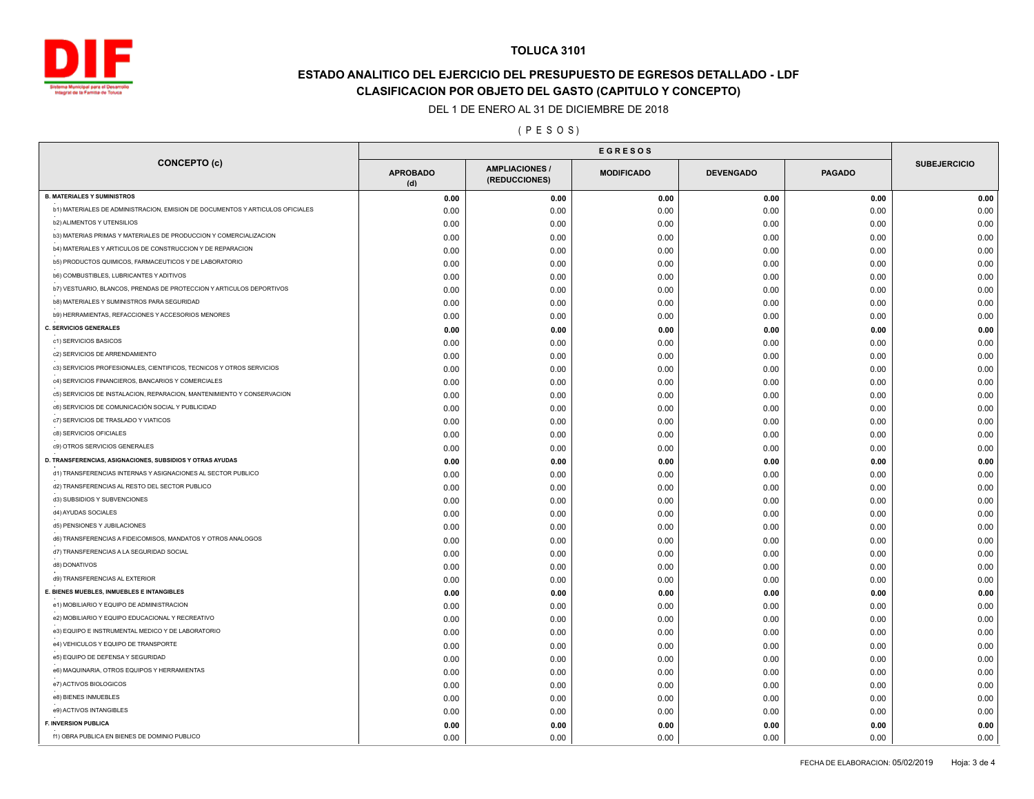

# **ESTADO ANALITICO DEL EJERCICIO DEL PRESUPUESTO DE EGRESOS DETALLADO - LDF CLASIFICACION POR OBJETO DEL GASTO (CAPITULO Y CONCEPTO)**

DEL 1 DE ENERO AL 31 DE DICIEMBRE DE 2018

( P E S O S )

| <b>CONCEPTO (c)</b><br><b>AMPLIACIONES</b><br><b>APROBADO</b><br><b>MODIFICADO</b><br><b>DEVENGADO</b><br><b>PAGADO</b><br>(REDUCCIONES)<br>(d)<br>0.00<br>0.00<br>0.00<br>0.00<br>0.00<br>b1) MATERIALES DE ADMINISTRACION, EMISION DE DOCUMENTOS Y ARTICULOS OFICIALES<br>0.00<br>0.00<br>0.00<br>0.00<br>0.00<br><b>b2) ALIMENTOS Y UTENSILIOS</b><br>0.00<br>0.00<br>0.00<br>0.00<br>0.00<br>b3) MATERIAS PRIMAS Y MATERIALES DE PRODUCCION Y COMERCIALIZACION<br>0.00<br>0.00<br>0.00<br>0.00<br>0.00<br>b4) MATERIALES Y ARTICULOS DE CONSTRUCCION Y DE REPARACION<br>0.00<br>0.00<br>0.00<br>0.00<br>0.00<br>b5) PRODUCTOS QUIMICOS, FARMACEUTICOS Y DE LABORATORIO<br>0.00<br>0.00<br>0.00<br>0.00<br>0.00<br><b>b6) COMBUSTIBLES, LUBRICANTES Y ADITIVOS</b><br>0.00<br>0.00<br>0.00<br>0.00<br>0.00<br>b7) VESTUARIO, BLANCOS, PRENDAS DE PROTECCION Y ARTICULOS DEPORTIVOS<br>0.00<br>0.00<br>0.00<br>0.00<br>0.00<br>b8) MATERIALES Y SUMINISTROS PARA SEGURIDAD<br>0.00<br>0.00<br>0.00<br>0.00<br>0.00<br>b9) HERRAMIENTAS, REFACCIONES Y ACCESORIOS MENORES<br>0.00<br>0.00<br>0.00<br>0.00<br>0.00<br>0.00<br>0.00<br>0.00<br>0.00<br>0.00<br>c1) SERVICIOS BASICOS<br>0.00<br>0.00<br>0.00<br>0.00<br>0.00<br>c2) SERVICIOS DE ARRENDAMIENTO<br>0.00<br>0.00<br>0.00<br>0.00<br>0.00<br>c3) SERVICIOS PROFESIONALES, CIENTIFICOS, TECNICOS Y OTROS SERVICIOS<br>0.00<br>0.00<br>0.00<br>0.00<br>0.00<br>c4) SERVICIOS FINANCIEROS, BANCARIOS Y COMERCIALES<br>0.00<br>0.00<br>0.00<br>0.00<br>0.00<br>c5) SERVICIOS DE INSTALACION, REPARACION, MANTENIMIENTO Y CONSERVACION<br>0.00<br>0.00<br>0.00<br>0.00<br>0.00<br>c6) SERVICIOS DE COMUNICACIÓN SOCIAL Y PUBLICIDAD<br>0.00<br>0.00<br>0.00<br>0.00<br>0.00<br>c7) SERVICIOS DE TRASLADO Y VIATICOS<br>0.00<br>0.00<br>0.00<br>0.00<br>0.00<br>c8) SERVICIOS OFICIALES<br>0.00<br>0.00<br>0.00<br>0.00<br>0.00<br>c9) OTROS SERVICIOS GENERALES<br>0.00<br>0.00<br>0.00<br>0.00<br>0.00<br>0.00<br>0.00<br>0.00<br>0.00<br>0.00<br>d1) TRANSFERENCIAS INTERNAS Y ASIGNACIONES AL SECTOR PUBLICO<br>0.00<br>0.00<br>0.00<br>0.00<br>0.00<br>d2) TRANSFERENCIAS AL RESTO DEL SECTOR PUBLICO<br>0.00<br>0.00<br>0.00<br>0.00<br>0.00<br>d3) SUBSIDIOS Y SUBVENCIONES<br>0.00<br>0.00<br>0.00<br>0.00<br>0.00<br>d4) AYUDAS SOCIALES<br>0.00<br>0.00<br>0.00<br>0.00<br>0.00<br>d5) PENSIONES Y JUBILACIONES<br>0.00<br>0.00<br>0.00<br>0.00<br>0.00<br>d6) TRANSFERENCIAS A FIDEICOMISOS, MANDATOS Y OTROS ANALOGOS<br>0.00<br>0.00<br>0.00<br>0.00<br>0.00<br>d7) TRANSFERENCIAS A LA SEGURIDAD SOCIAL<br>0.00<br>0.00<br>0.00<br>0.00<br>0.00<br>d8) DONATIVOS<br>0.00<br>0.00<br>0.00<br>0.00<br>0.00<br>d9) TRANSFERENCIAS AL EXTERIOR<br>0.00<br>0.00<br>0.00<br>0.00<br>0.00<br>0.00<br>0.00<br>0.00<br>0.00<br>0.00<br>e1) MOBILIARIO Y EQUIPO DE ADMINISTRACION<br>0.00<br>0.00<br>0.00<br>0.00<br>0.00<br>e2) MOBILIARIO Y EQUIPO EDUCACIONAL Y RECREATIVO<br>0.00<br>0.00<br>0.00<br>0.00<br>0.00<br>e3) EQUIPO E INSTRUMENTAL MEDICO Y DE LABORATORIO<br>0.00<br>0.00<br>0.00<br>0.00<br>0.00<br>e4) VEHICULOS Y EQUIPO DE TRANSPORTE<br>0.00<br>0.00<br>0.00<br>0.00<br>0.00<br>e5) EQUIPO DE DEFENSA Y SEGURIDAD<br>0.00<br>0.00<br>0.00<br>0.00<br>0.00<br>e6) MAQUINARIA, OTROS EQUIPOS Y HERRAMIENTAS<br>0.00<br>0.00<br>0.00<br>0.00<br>0.00<br>e7) ACTIVOS BIOLOGICOS<br>0.00<br>0.00<br>0.00<br>0.00<br>0.00<br>e8) BIENES INMUEBLES<br>0.00<br>0.00<br>0.00<br>0.00<br>0.00<br>e9) ACTIVOS INTANGIBLES<br>0.00<br>0.00<br>0.00<br>0.00<br>0.00<br>F. INVERSION PUBLICA<br>0.00<br>0.00<br>0.00<br>0.00<br>0.00 |                                                           | <b>EGRESOS</b> |  |  |  |  |                     |
|--------------------------------------------------------------------------------------------------------------------------------------------------------------------------------------------------------------------------------------------------------------------------------------------------------------------------------------------------------------------------------------------------------------------------------------------------------------------------------------------------------------------------------------------------------------------------------------------------------------------------------------------------------------------------------------------------------------------------------------------------------------------------------------------------------------------------------------------------------------------------------------------------------------------------------------------------------------------------------------------------------------------------------------------------------------------------------------------------------------------------------------------------------------------------------------------------------------------------------------------------------------------------------------------------------------------------------------------------------------------------------------------------------------------------------------------------------------------------------------------------------------------------------------------------------------------------------------------------------------------------------------------------------------------------------------------------------------------------------------------------------------------------------------------------------------------------------------------------------------------------------------------------------------------------------------------------------------------------------------------------------------------------------------------------------------------------------------------------------------------------------------------------------------------------------------------------------------------------------------------------------------------------------------------------------------------------------------------------------------------------------------------------------------------------------------------------------------------------------------------------------------------------------------------------------------------------------------------------------------------------------------------------------------------------------------------------------------------------------------------------------------------------------------------------------------------------------------------------------------------------------------------------------------------------------------------------------------------------------------------------------------------------------------------------------------------------------------------------------------------------------------------------------------------------------------------------------------------------------------------------------------------------------------------------------------------------------------------------------------------------------------------------------------------------------------------------------------------------------------------------------------------------------------------------------------------------------------------------------|-----------------------------------------------------------|----------------|--|--|--|--|---------------------|
|                                                                                                                                                                                                                                                                                                                                                                                                                                                                                                                                                                                                                                                                                                                                                                                                                                                                                                                                                                                                                                                                                                                                                                                                                                                                                                                                                                                                                                                                                                                                                                                                                                                                                                                                                                                                                                                                                                                                                                                                                                                                                                                                                                                                                                                                                                                                                                                                                                                                                                                                                                                                                                                                                                                                                                                                                                                                                                                                                                                                                                                                                                                                                                                                                                                                                                                                                                                                                                                                                                                                                                                                        |                                                           |                |  |  |  |  | <b>SUBEJERCICIO</b> |
|                                                                                                                                                                                                                                                                                                                                                                                                                                                                                                                                                                                                                                                                                                                                                                                                                                                                                                                                                                                                                                                                                                                                                                                                                                                                                                                                                                                                                                                                                                                                                                                                                                                                                                                                                                                                                                                                                                                                                                                                                                                                                                                                                                                                                                                                                                                                                                                                                                                                                                                                                                                                                                                                                                                                                                                                                                                                                                                                                                                                                                                                                                                                                                                                                                                                                                                                                                                                                                                                                                                                                                                                        | <b>B. MATERIALES Y SUMINISTROS</b>                        |                |  |  |  |  | 0.00                |
|                                                                                                                                                                                                                                                                                                                                                                                                                                                                                                                                                                                                                                                                                                                                                                                                                                                                                                                                                                                                                                                                                                                                                                                                                                                                                                                                                                                                                                                                                                                                                                                                                                                                                                                                                                                                                                                                                                                                                                                                                                                                                                                                                                                                                                                                                                                                                                                                                                                                                                                                                                                                                                                                                                                                                                                                                                                                                                                                                                                                                                                                                                                                                                                                                                                                                                                                                                                                                                                                                                                                                                                                        |                                                           |                |  |  |  |  | 0.00                |
|                                                                                                                                                                                                                                                                                                                                                                                                                                                                                                                                                                                                                                                                                                                                                                                                                                                                                                                                                                                                                                                                                                                                                                                                                                                                                                                                                                                                                                                                                                                                                                                                                                                                                                                                                                                                                                                                                                                                                                                                                                                                                                                                                                                                                                                                                                                                                                                                                                                                                                                                                                                                                                                                                                                                                                                                                                                                                                                                                                                                                                                                                                                                                                                                                                                                                                                                                                                                                                                                                                                                                                                                        |                                                           |                |  |  |  |  | 0.00                |
|                                                                                                                                                                                                                                                                                                                                                                                                                                                                                                                                                                                                                                                                                                                                                                                                                                                                                                                                                                                                                                                                                                                                                                                                                                                                                                                                                                                                                                                                                                                                                                                                                                                                                                                                                                                                                                                                                                                                                                                                                                                                                                                                                                                                                                                                                                                                                                                                                                                                                                                                                                                                                                                                                                                                                                                                                                                                                                                                                                                                                                                                                                                                                                                                                                                                                                                                                                                                                                                                                                                                                                                                        |                                                           |                |  |  |  |  | 0.00                |
|                                                                                                                                                                                                                                                                                                                                                                                                                                                                                                                                                                                                                                                                                                                                                                                                                                                                                                                                                                                                                                                                                                                                                                                                                                                                                                                                                                                                                                                                                                                                                                                                                                                                                                                                                                                                                                                                                                                                                                                                                                                                                                                                                                                                                                                                                                                                                                                                                                                                                                                                                                                                                                                                                                                                                                                                                                                                                                                                                                                                                                                                                                                                                                                                                                                                                                                                                                                                                                                                                                                                                                                                        |                                                           |                |  |  |  |  | 0.00                |
|                                                                                                                                                                                                                                                                                                                                                                                                                                                                                                                                                                                                                                                                                                                                                                                                                                                                                                                                                                                                                                                                                                                                                                                                                                                                                                                                                                                                                                                                                                                                                                                                                                                                                                                                                                                                                                                                                                                                                                                                                                                                                                                                                                                                                                                                                                                                                                                                                                                                                                                                                                                                                                                                                                                                                                                                                                                                                                                                                                                                                                                                                                                                                                                                                                                                                                                                                                                                                                                                                                                                                                                                        |                                                           |                |  |  |  |  | 0.00                |
|                                                                                                                                                                                                                                                                                                                                                                                                                                                                                                                                                                                                                                                                                                                                                                                                                                                                                                                                                                                                                                                                                                                                                                                                                                                                                                                                                                                                                                                                                                                                                                                                                                                                                                                                                                                                                                                                                                                                                                                                                                                                                                                                                                                                                                                                                                                                                                                                                                                                                                                                                                                                                                                                                                                                                                                                                                                                                                                                                                                                                                                                                                                                                                                                                                                                                                                                                                                                                                                                                                                                                                                                        |                                                           |                |  |  |  |  | 0.00                |
|                                                                                                                                                                                                                                                                                                                                                                                                                                                                                                                                                                                                                                                                                                                                                                                                                                                                                                                                                                                                                                                                                                                                                                                                                                                                                                                                                                                                                                                                                                                                                                                                                                                                                                                                                                                                                                                                                                                                                                                                                                                                                                                                                                                                                                                                                                                                                                                                                                                                                                                                                                                                                                                                                                                                                                                                                                                                                                                                                                                                                                                                                                                                                                                                                                                                                                                                                                                                                                                                                                                                                                                                        |                                                           |                |  |  |  |  | 0.00                |
|                                                                                                                                                                                                                                                                                                                                                                                                                                                                                                                                                                                                                                                                                                                                                                                                                                                                                                                                                                                                                                                                                                                                                                                                                                                                                                                                                                                                                                                                                                                                                                                                                                                                                                                                                                                                                                                                                                                                                                                                                                                                                                                                                                                                                                                                                                                                                                                                                                                                                                                                                                                                                                                                                                                                                                                                                                                                                                                                                                                                                                                                                                                                                                                                                                                                                                                                                                                                                                                                                                                                                                                                        |                                                           |                |  |  |  |  | 0.00                |
|                                                                                                                                                                                                                                                                                                                                                                                                                                                                                                                                                                                                                                                                                                                                                                                                                                                                                                                                                                                                                                                                                                                                                                                                                                                                                                                                                                                                                                                                                                                                                                                                                                                                                                                                                                                                                                                                                                                                                                                                                                                                                                                                                                                                                                                                                                                                                                                                                                                                                                                                                                                                                                                                                                                                                                                                                                                                                                                                                                                                                                                                                                                                                                                                                                                                                                                                                                                                                                                                                                                                                                                                        |                                                           |                |  |  |  |  | 0.00                |
|                                                                                                                                                                                                                                                                                                                                                                                                                                                                                                                                                                                                                                                                                                                                                                                                                                                                                                                                                                                                                                                                                                                                                                                                                                                                                                                                                                                                                                                                                                                                                                                                                                                                                                                                                                                                                                                                                                                                                                                                                                                                                                                                                                                                                                                                                                                                                                                                                                                                                                                                                                                                                                                                                                                                                                                                                                                                                                                                                                                                                                                                                                                                                                                                                                                                                                                                                                                                                                                                                                                                                                                                        | <b>C. SERVICIOS GENERALES</b>                             |                |  |  |  |  | 0.00                |
|                                                                                                                                                                                                                                                                                                                                                                                                                                                                                                                                                                                                                                                                                                                                                                                                                                                                                                                                                                                                                                                                                                                                                                                                                                                                                                                                                                                                                                                                                                                                                                                                                                                                                                                                                                                                                                                                                                                                                                                                                                                                                                                                                                                                                                                                                                                                                                                                                                                                                                                                                                                                                                                                                                                                                                                                                                                                                                                                                                                                                                                                                                                                                                                                                                                                                                                                                                                                                                                                                                                                                                                                        |                                                           |                |  |  |  |  | 0.00                |
|                                                                                                                                                                                                                                                                                                                                                                                                                                                                                                                                                                                                                                                                                                                                                                                                                                                                                                                                                                                                                                                                                                                                                                                                                                                                                                                                                                                                                                                                                                                                                                                                                                                                                                                                                                                                                                                                                                                                                                                                                                                                                                                                                                                                                                                                                                                                                                                                                                                                                                                                                                                                                                                                                                                                                                                                                                                                                                                                                                                                                                                                                                                                                                                                                                                                                                                                                                                                                                                                                                                                                                                                        |                                                           |                |  |  |  |  | 0.00                |
|                                                                                                                                                                                                                                                                                                                                                                                                                                                                                                                                                                                                                                                                                                                                                                                                                                                                                                                                                                                                                                                                                                                                                                                                                                                                                                                                                                                                                                                                                                                                                                                                                                                                                                                                                                                                                                                                                                                                                                                                                                                                                                                                                                                                                                                                                                                                                                                                                                                                                                                                                                                                                                                                                                                                                                                                                                                                                                                                                                                                                                                                                                                                                                                                                                                                                                                                                                                                                                                                                                                                                                                                        |                                                           |                |  |  |  |  | 0.00                |
|                                                                                                                                                                                                                                                                                                                                                                                                                                                                                                                                                                                                                                                                                                                                                                                                                                                                                                                                                                                                                                                                                                                                                                                                                                                                                                                                                                                                                                                                                                                                                                                                                                                                                                                                                                                                                                                                                                                                                                                                                                                                                                                                                                                                                                                                                                                                                                                                                                                                                                                                                                                                                                                                                                                                                                                                                                                                                                                                                                                                                                                                                                                                                                                                                                                                                                                                                                                                                                                                                                                                                                                                        |                                                           |                |  |  |  |  | 0.00                |
|                                                                                                                                                                                                                                                                                                                                                                                                                                                                                                                                                                                                                                                                                                                                                                                                                                                                                                                                                                                                                                                                                                                                                                                                                                                                                                                                                                                                                                                                                                                                                                                                                                                                                                                                                                                                                                                                                                                                                                                                                                                                                                                                                                                                                                                                                                                                                                                                                                                                                                                                                                                                                                                                                                                                                                                                                                                                                                                                                                                                                                                                                                                                                                                                                                                                                                                                                                                                                                                                                                                                                                                                        |                                                           |                |  |  |  |  | 0.00                |
|                                                                                                                                                                                                                                                                                                                                                                                                                                                                                                                                                                                                                                                                                                                                                                                                                                                                                                                                                                                                                                                                                                                                                                                                                                                                                                                                                                                                                                                                                                                                                                                                                                                                                                                                                                                                                                                                                                                                                                                                                                                                                                                                                                                                                                                                                                                                                                                                                                                                                                                                                                                                                                                                                                                                                                                                                                                                                                                                                                                                                                                                                                                                                                                                                                                                                                                                                                                                                                                                                                                                                                                                        |                                                           |                |  |  |  |  | 0.00                |
|                                                                                                                                                                                                                                                                                                                                                                                                                                                                                                                                                                                                                                                                                                                                                                                                                                                                                                                                                                                                                                                                                                                                                                                                                                                                                                                                                                                                                                                                                                                                                                                                                                                                                                                                                                                                                                                                                                                                                                                                                                                                                                                                                                                                                                                                                                                                                                                                                                                                                                                                                                                                                                                                                                                                                                                                                                                                                                                                                                                                                                                                                                                                                                                                                                                                                                                                                                                                                                                                                                                                                                                                        |                                                           |                |  |  |  |  | 0.00                |
|                                                                                                                                                                                                                                                                                                                                                                                                                                                                                                                                                                                                                                                                                                                                                                                                                                                                                                                                                                                                                                                                                                                                                                                                                                                                                                                                                                                                                                                                                                                                                                                                                                                                                                                                                                                                                                                                                                                                                                                                                                                                                                                                                                                                                                                                                                                                                                                                                                                                                                                                                                                                                                                                                                                                                                                                                                                                                                                                                                                                                                                                                                                                                                                                                                                                                                                                                                                                                                                                                                                                                                                                        |                                                           |                |  |  |  |  | 0.00                |
|                                                                                                                                                                                                                                                                                                                                                                                                                                                                                                                                                                                                                                                                                                                                                                                                                                                                                                                                                                                                                                                                                                                                                                                                                                                                                                                                                                                                                                                                                                                                                                                                                                                                                                                                                                                                                                                                                                                                                                                                                                                                                                                                                                                                                                                                                                                                                                                                                                                                                                                                                                                                                                                                                                                                                                                                                                                                                                                                                                                                                                                                                                                                                                                                                                                                                                                                                                                                                                                                                                                                                                                                        |                                                           |                |  |  |  |  | 0.00                |
|                                                                                                                                                                                                                                                                                                                                                                                                                                                                                                                                                                                                                                                                                                                                                                                                                                                                                                                                                                                                                                                                                                                                                                                                                                                                                                                                                                                                                                                                                                                                                                                                                                                                                                                                                                                                                                                                                                                                                                                                                                                                                                                                                                                                                                                                                                                                                                                                                                                                                                                                                                                                                                                                                                                                                                                                                                                                                                                                                                                                                                                                                                                                                                                                                                                                                                                                                                                                                                                                                                                                                                                                        | D. TRANSFERENCIAS, ASIGNACIONES, SUBSIDIOS Y OTRAS AYUDAS |                |  |  |  |  | 0.00                |
|                                                                                                                                                                                                                                                                                                                                                                                                                                                                                                                                                                                                                                                                                                                                                                                                                                                                                                                                                                                                                                                                                                                                                                                                                                                                                                                                                                                                                                                                                                                                                                                                                                                                                                                                                                                                                                                                                                                                                                                                                                                                                                                                                                                                                                                                                                                                                                                                                                                                                                                                                                                                                                                                                                                                                                                                                                                                                                                                                                                                                                                                                                                                                                                                                                                                                                                                                                                                                                                                                                                                                                                                        |                                                           |                |  |  |  |  | 0.00                |
|                                                                                                                                                                                                                                                                                                                                                                                                                                                                                                                                                                                                                                                                                                                                                                                                                                                                                                                                                                                                                                                                                                                                                                                                                                                                                                                                                                                                                                                                                                                                                                                                                                                                                                                                                                                                                                                                                                                                                                                                                                                                                                                                                                                                                                                                                                                                                                                                                                                                                                                                                                                                                                                                                                                                                                                                                                                                                                                                                                                                                                                                                                                                                                                                                                                                                                                                                                                                                                                                                                                                                                                                        |                                                           |                |  |  |  |  | 0.00                |
|                                                                                                                                                                                                                                                                                                                                                                                                                                                                                                                                                                                                                                                                                                                                                                                                                                                                                                                                                                                                                                                                                                                                                                                                                                                                                                                                                                                                                                                                                                                                                                                                                                                                                                                                                                                                                                                                                                                                                                                                                                                                                                                                                                                                                                                                                                                                                                                                                                                                                                                                                                                                                                                                                                                                                                                                                                                                                                                                                                                                                                                                                                                                                                                                                                                                                                                                                                                                                                                                                                                                                                                                        |                                                           |                |  |  |  |  | 0.00                |
|                                                                                                                                                                                                                                                                                                                                                                                                                                                                                                                                                                                                                                                                                                                                                                                                                                                                                                                                                                                                                                                                                                                                                                                                                                                                                                                                                                                                                                                                                                                                                                                                                                                                                                                                                                                                                                                                                                                                                                                                                                                                                                                                                                                                                                                                                                                                                                                                                                                                                                                                                                                                                                                                                                                                                                                                                                                                                                                                                                                                                                                                                                                                                                                                                                                                                                                                                                                                                                                                                                                                                                                                        |                                                           |                |  |  |  |  | 0.00                |
|                                                                                                                                                                                                                                                                                                                                                                                                                                                                                                                                                                                                                                                                                                                                                                                                                                                                                                                                                                                                                                                                                                                                                                                                                                                                                                                                                                                                                                                                                                                                                                                                                                                                                                                                                                                                                                                                                                                                                                                                                                                                                                                                                                                                                                                                                                                                                                                                                                                                                                                                                                                                                                                                                                                                                                                                                                                                                                                                                                                                                                                                                                                                                                                                                                                                                                                                                                                                                                                                                                                                                                                                        |                                                           |                |  |  |  |  | 0.00                |
|                                                                                                                                                                                                                                                                                                                                                                                                                                                                                                                                                                                                                                                                                                                                                                                                                                                                                                                                                                                                                                                                                                                                                                                                                                                                                                                                                                                                                                                                                                                                                                                                                                                                                                                                                                                                                                                                                                                                                                                                                                                                                                                                                                                                                                                                                                                                                                                                                                                                                                                                                                                                                                                                                                                                                                                                                                                                                                                                                                                                                                                                                                                                                                                                                                                                                                                                                                                                                                                                                                                                                                                                        |                                                           |                |  |  |  |  | 0.00                |
|                                                                                                                                                                                                                                                                                                                                                                                                                                                                                                                                                                                                                                                                                                                                                                                                                                                                                                                                                                                                                                                                                                                                                                                                                                                                                                                                                                                                                                                                                                                                                                                                                                                                                                                                                                                                                                                                                                                                                                                                                                                                                                                                                                                                                                                                                                                                                                                                                                                                                                                                                                                                                                                                                                                                                                                                                                                                                                                                                                                                                                                                                                                                                                                                                                                                                                                                                                                                                                                                                                                                                                                                        |                                                           |                |  |  |  |  | 0.00                |
|                                                                                                                                                                                                                                                                                                                                                                                                                                                                                                                                                                                                                                                                                                                                                                                                                                                                                                                                                                                                                                                                                                                                                                                                                                                                                                                                                                                                                                                                                                                                                                                                                                                                                                                                                                                                                                                                                                                                                                                                                                                                                                                                                                                                                                                                                                                                                                                                                                                                                                                                                                                                                                                                                                                                                                                                                                                                                                                                                                                                                                                                                                                                                                                                                                                                                                                                                                                                                                                                                                                                                                                                        |                                                           |                |  |  |  |  | 0.00                |
|                                                                                                                                                                                                                                                                                                                                                                                                                                                                                                                                                                                                                                                                                                                                                                                                                                                                                                                                                                                                                                                                                                                                                                                                                                                                                                                                                                                                                                                                                                                                                                                                                                                                                                                                                                                                                                                                                                                                                                                                                                                                                                                                                                                                                                                                                                                                                                                                                                                                                                                                                                                                                                                                                                                                                                                                                                                                                                                                                                                                                                                                                                                                                                                                                                                                                                                                                                                                                                                                                                                                                                                                        |                                                           |                |  |  |  |  | 0.00                |
|                                                                                                                                                                                                                                                                                                                                                                                                                                                                                                                                                                                                                                                                                                                                                                                                                                                                                                                                                                                                                                                                                                                                                                                                                                                                                                                                                                                                                                                                                                                                                                                                                                                                                                                                                                                                                                                                                                                                                                                                                                                                                                                                                                                                                                                                                                                                                                                                                                                                                                                                                                                                                                                                                                                                                                                                                                                                                                                                                                                                                                                                                                                                                                                                                                                                                                                                                                                                                                                                                                                                                                                                        | E. BIENES MUEBLES, INMUEBLES E INTANGIBLES                |                |  |  |  |  | 0.00                |
|                                                                                                                                                                                                                                                                                                                                                                                                                                                                                                                                                                                                                                                                                                                                                                                                                                                                                                                                                                                                                                                                                                                                                                                                                                                                                                                                                                                                                                                                                                                                                                                                                                                                                                                                                                                                                                                                                                                                                                                                                                                                                                                                                                                                                                                                                                                                                                                                                                                                                                                                                                                                                                                                                                                                                                                                                                                                                                                                                                                                                                                                                                                                                                                                                                                                                                                                                                                                                                                                                                                                                                                                        |                                                           |                |  |  |  |  | 0.00                |
|                                                                                                                                                                                                                                                                                                                                                                                                                                                                                                                                                                                                                                                                                                                                                                                                                                                                                                                                                                                                                                                                                                                                                                                                                                                                                                                                                                                                                                                                                                                                                                                                                                                                                                                                                                                                                                                                                                                                                                                                                                                                                                                                                                                                                                                                                                                                                                                                                                                                                                                                                                                                                                                                                                                                                                                                                                                                                                                                                                                                                                                                                                                                                                                                                                                                                                                                                                                                                                                                                                                                                                                                        |                                                           |                |  |  |  |  | 0.00                |
|                                                                                                                                                                                                                                                                                                                                                                                                                                                                                                                                                                                                                                                                                                                                                                                                                                                                                                                                                                                                                                                                                                                                                                                                                                                                                                                                                                                                                                                                                                                                                                                                                                                                                                                                                                                                                                                                                                                                                                                                                                                                                                                                                                                                                                                                                                                                                                                                                                                                                                                                                                                                                                                                                                                                                                                                                                                                                                                                                                                                                                                                                                                                                                                                                                                                                                                                                                                                                                                                                                                                                                                                        |                                                           |                |  |  |  |  | 0.00                |
|                                                                                                                                                                                                                                                                                                                                                                                                                                                                                                                                                                                                                                                                                                                                                                                                                                                                                                                                                                                                                                                                                                                                                                                                                                                                                                                                                                                                                                                                                                                                                                                                                                                                                                                                                                                                                                                                                                                                                                                                                                                                                                                                                                                                                                                                                                                                                                                                                                                                                                                                                                                                                                                                                                                                                                                                                                                                                                                                                                                                                                                                                                                                                                                                                                                                                                                                                                                                                                                                                                                                                                                                        |                                                           |                |  |  |  |  | 0.00                |
|                                                                                                                                                                                                                                                                                                                                                                                                                                                                                                                                                                                                                                                                                                                                                                                                                                                                                                                                                                                                                                                                                                                                                                                                                                                                                                                                                                                                                                                                                                                                                                                                                                                                                                                                                                                                                                                                                                                                                                                                                                                                                                                                                                                                                                                                                                                                                                                                                                                                                                                                                                                                                                                                                                                                                                                                                                                                                                                                                                                                                                                                                                                                                                                                                                                                                                                                                                                                                                                                                                                                                                                                        |                                                           |                |  |  |  |  | 0.00                |
|                                                                                                                                                                                                                                                                                                                                                                                                                                                                                                                                                                                                                                                                                                                                                                                                                                                                                                                                                                                                                                                                                                                                                                                                                                                                                                                                                                                                                                                                                                                                                                                                                                                                                                                                                                                                                                                                                                                                                                                                                                                                                                                                                                                                                                                                                                                                                                                                                                                                                                                                                                                                                                                                                                                                                                                                                                                                                                                                                                                                                                                                                                                                                                                                                                                                                                                                                                                                                                                                                                                                                                                                        |                                                           |                |  |  |  |  | 0.00                |
|                                                                                                                                                                                                                                                                                                                                                                                                                                                                                                                                                                                                                                                                                                                                                                                                                                                                                                                                                                                                                                                                                                                                                                                                                                                                                                                                                                                                                                                                                                                                                                                                                                                                                                                                                                                                                                                                                                                                                                                                                                                                                                                                                                                                                                                                                                                                                                                                                                                                                                                                                                                                                                                                                                                                                                                                                                                                                                                                                                                                                                                                                                                                                                                                                                                                                                                                                                                                                                                                                                                                                                                                        |                                                           |                |  |  |  |  |                     |
|                                                                                                                                                                                                                                                                                                                                                                                                                                                                                                                                                                                                                                                                                                                                                                                                                                                                                                                                                                                                                                                                                                                                                                                                                                                                                                                                                                                                                                                                                                                                                                                                                                                                                                                                                                                                                                                                                                                                                                                                                                                                                                                                                                                                                                                                                                                                                                                                                                                                                                                                                                                                                                                                                                                                                                                                                                                                                                                                                                                                                                                                                                                                                                                                                                                                                                                                                                                                                                                                                                                                                                                                        |                                                           |                |  |  |  |  | 0.00                |
|                                                                                                                                                                                                                                                                                                                                                                                                                                                                                                                                                                                                                                                                                                                                                                                                                                                                                                                                                                                                                                                                                                                                                                                                                                                                                                                                                                                                                                                                                                                                                                                                                                                                                                                                                                                                                                                                                                                                                                                                                                                                                                                                                                                                                                                                                                                                                                                                                                                                                                                                                                                                                                                                                                                                                                                                                                                                                                                                                                                                                                                                                                                                                                                                                                                                                                                                                                                                                                                                                                                                                                                                        |                                                           |                |  |  |  |  | 0.00                |
|                                                                                                                                                                                                                                                                                                                                                                                                                                                                                                                                                                                                                                                                                                                                                                                                                                                                                                                                                                                                                                                                                                                                                                                                                                                                                                                                                                                                                                                                                                                                                                                                                                                                                                                                                                                                                                                                                                                                                                                                                                                                                                                                                                                                                                                                                                                                                                                                                                                                                                                                                                                                                                                                                                                                                                                                                                                                                                                                                                                                                                                                                                                                                                                                                                                                                                                                                                                                                                                                                                                                                                                                        |                                                           |                |  |  |  |  | 0.00                |
| 0.00<br>0.00<br>0.00<br>0.00<br>0.00                                                                                                                                                                                                                                                                                                                                                                                                                                                                                                                                                                                                                                                                                                                                                                                                                                                                                                                                                                                                                                                                                                                                                                                                                                                                                                                                                                                                                                                                                                                                                                                                                                                                                                                                                                                                                                                                                                                                                                                                                                                                                                                                                                                                                                                                                                                                                                                                                                                                                                                                                                                                                                                                                                                                                                                                                                                                                                                                                                                                                                                                                                                                                                                                                                                                                                                                                                                                                                                                                                                                                                   | f1) OBRA PUBLICA EN BIENES DE DOMINIO PUBLICO             |                |  |  |  |  | 0.00<br>0.00        |